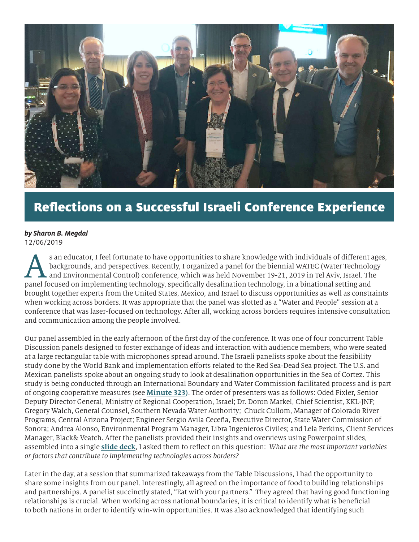

## Reflections on a Successful Israeli Conference Experience

## *by Sharon B. Megdal* 12/06/2019

s an educator, I feel fortunate to have opportunities to share knowledge with individuals of different ages, backgrounds, and perspectives. Recently, I organized a panel for the biennial WATEC (Water Technology and Environmental Control) conference, which was held November 19-21, 2019 in Tel Aviv, Israel. The panel focused on implementing technology, specifically desalination technology, in a binational setting and brought together experts from the United States, Mexico, and Israel to discuss opportunities as well as constraints when working across borders. It was appropriate that the panel was slotted as a "Water and People" session at a conference that was laser-focused on technology. After all, working across borders requires intensive consultation and communication among the people involved.

Our panel assembled in the early afternoon of the first day of the conference. It was one of four concurrent Table Discussion panels designed to foster exchange of ideas and interaction with audience members, who were seated at a large rectangular table with microphones spread around. The Israeli panelists spoke about the feasibility study done by the World Bank and implementation efforts related to the Red Sea-Dead Sea project. The U.S. and Mexican panelists spoke about an ongoing study to look at desalination opportunities in the Sea of Cortez. This study is being conducted through an International Boundary and Water Commission facilitated process and is part of ongoing cooperative measures (see **[Minute 323](https://www.ibwc.gov/Files/Minutes/Min323.pdf))**. The order of presenters was as follows: Oded Fixler, Senior Deputy Director General, Ministry of Regional Cooperation, Israel; Dr. Doron Markel, Chief Scientist, KKL-JNF; Gregory Walch, General Counsel, Southern Nevada Water Authority; Chuck Cullom, Manager of Colorado River Programs, Central Arizona Project; Engineer Sergio Avila Ceceña, Executive Director, State Water Commission of Sonora; Andrea Alonso, Environmental Program Manager, Libra Ingenieros Civiles; and Lela Perkins, Client Services Manager, Black& Veatch. After the panelists provided their insights and overviews using Powerpoint slides, assembled into a single **[slide deck](https://wrrc.arizona.edu/sites/wrrc.arizona.edu/files/Megdal-Technologies-Across-Borders.pdf)**, I asked them to reflect on this question: *What are the most important variables or factors that contribute to implementing technologies across borders?*

Later in the day, at a session that summarized takeaways from the Table Discussions, I had the opportunity to share some insights from our panel. Interestingly, all agreed on the importance of food to building relationships and partnerships. A panelist succinctly stated, "Eat with your partners." They agreed that having good functioning relationships is crucial. When working across national boundaries, it is critical to identify what is beneficial to both nations in order to identify win-win opportunities. It was also acknowledged that identifying such